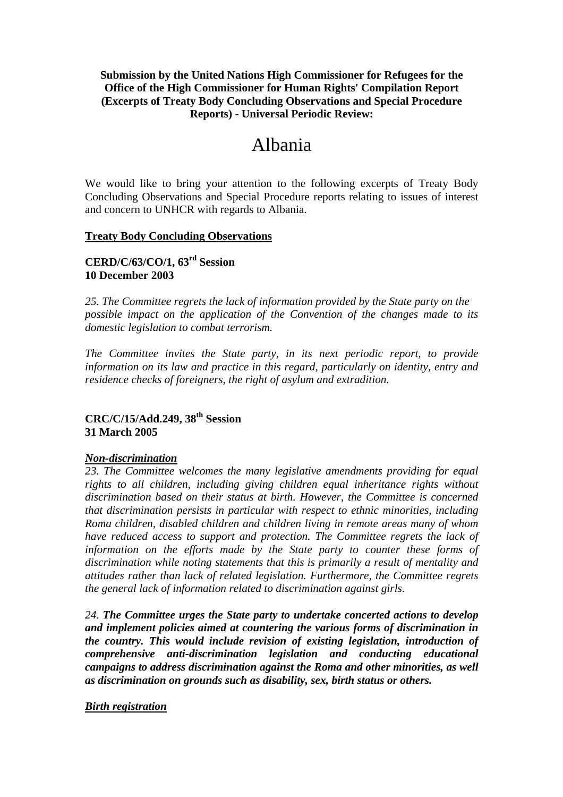## **Submission by the United Nations High Commissioner for Refugees for the Office of the High Commissioner for Human Rights' Compilation Report (Excerpts of Treaty Body Concluding Observations and Special Procedure Reports) - Universal Periodic Review:**

# Albania

We would like to bring your attention to the following excerpts of Treaty Body Concluding Observations and Special Procedure reports relating to issues of interest and concern to UNHCR with regards to Albania.

#### **Treaty Body Concluding Observations**

## **CERD/C/63/CO/1, 63rd Session 10 December 2003**

*25. The Committee regrets the lack of information provided by the State party on the possible impact on the application of the Convention of the changes made to its domestic legislation to combat terrorism.* 

*The Committee invites the State party, in its next periodic report, to provide information on its law and practice in this regard, particularly on identity, entry and residence checks of foreigners, the right of asylum and extradition.* 

# **CRC/C/15/Add.249, 38th Session 31 March 2005**

#### *Non-discrimination*

*23. The Committee welcomes the many legislative amendments providing for equal rights to all children, including giving children equal inheritance rights without discrimination based on their status at birth. However, the Committee is concerned that discrimination persists in particular with respect to ethnic minorities, including Roma children, disabled children and children living in remote areas many of whom have reduced access to support and protection. The Committee regrets the lack of information on the efforts made by the State party to counter these forms of discrimination while noting statements that this is primarily a result of mentality and attitudes rather than lack of related legislation. Furthermore, the Committee regrets the general lack of information related to discrimination against girls.* 

*24. The Committee urges the State party to undertake concerted actions to develop and implement policies aimed at countering the various forms of discrimination in the country. This would include revision of existing legislation, introduction of comprehensive anti-discrimination legislation and conducting educational campaigns to address discrimination against the Roma and other minorities, as well as discrimination on grounds such as disability, sex, birth status or others.* 

#### *Birth registration*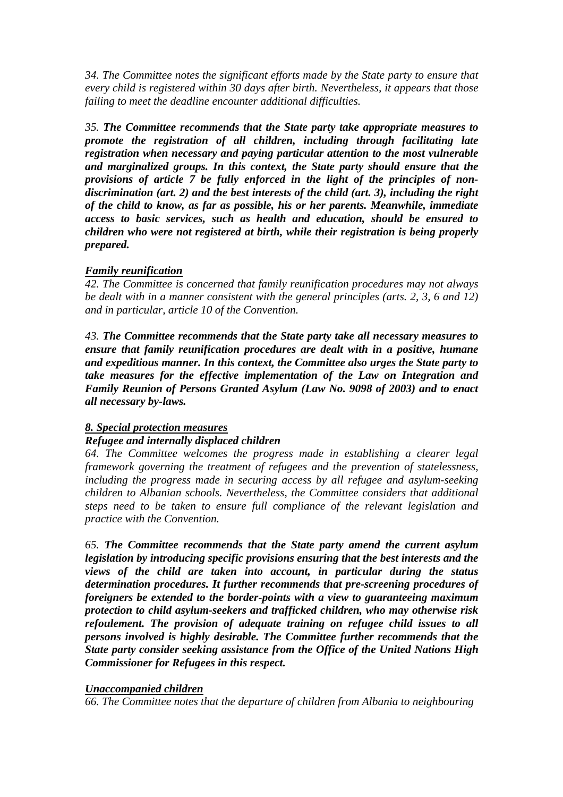*34. The Committee notes the significant efforts made by the State party to ensure that every child is registered within 30 days after birth. Nevertheless, it appears that those failing to meet the deadline encounter additional difficulties.* 

*35. The Committee recommends that the State party take appropriate measures to promote the registration of all children, including through facilitating late registration when necessary and paying particular attention to the most vulnerable and marginalized groups. In this context, the State party should ensure that the provisions of article 7 be fully enforced in the light of the principles of nondiscrimination (art. 2) and the best interests of the child (art. 3), including the right of the child to know, as far as possible, his or her parents. Meanwhile, immediate access to basic services, such as health and education, should be ensured to children who were not registered at birth, while their registration is being properly prepared.* 

## *Family reunification*

*42. The Committee is concerned that family reunification procedures may not always be dealt with in a manner consistent with the general principles (arts. 2, 3, 6 and 12) and in particular, article 10 of the Convention.* 

*43. The Committee recommends that the State party take all necessary measures to ensure that family reunification procedures are dealt with in a positive, humane and expeditious manner. In this context, the Committee also urges the State party to take measures for the effective implementation of the Law on Integration and Family Reunion of Persons Granted Asylum (Law No. 9098 of 2003) and to enact all necessary by-laws.* 

#### *8. Special protection measures*

#### *Refugee and internally displaced children*

*64. The Committee welcomes the progress made in establishing a clearer legal framework governing the treatment of refugees and the prevention of statelessness, including the progress made in securing access by all refugee and asylum-seeking children to Albanian schools. Nevertheless, the Committee considers that additional steps need to be taken to ensure full compliance of the relevant legislation and practice with the Convention.* 

*65. The Committee recommends that the State party amend the current asylum legislation by introducing specific provisions ensuring that the best interests and the views of the child are taken into account, in particular during the status determination procedures. It further recommends that pre-screening procedures of foreigners be extended to the border-points with a view to guaranteeing maximum protection to child asylum-seekers and trafficked children, who may otherwise risk refoulement. The provision of adequate training on refugee child issues to all persons involved is highly desirable. The Committee further recommends that the State party consider seeking assistance from the Office of the United Nations High Commissioner for Refugees in this respect.* 

#### *Unaccompanied children*

*66. The Committee notes that the departure of children from Albania to neighbouring*